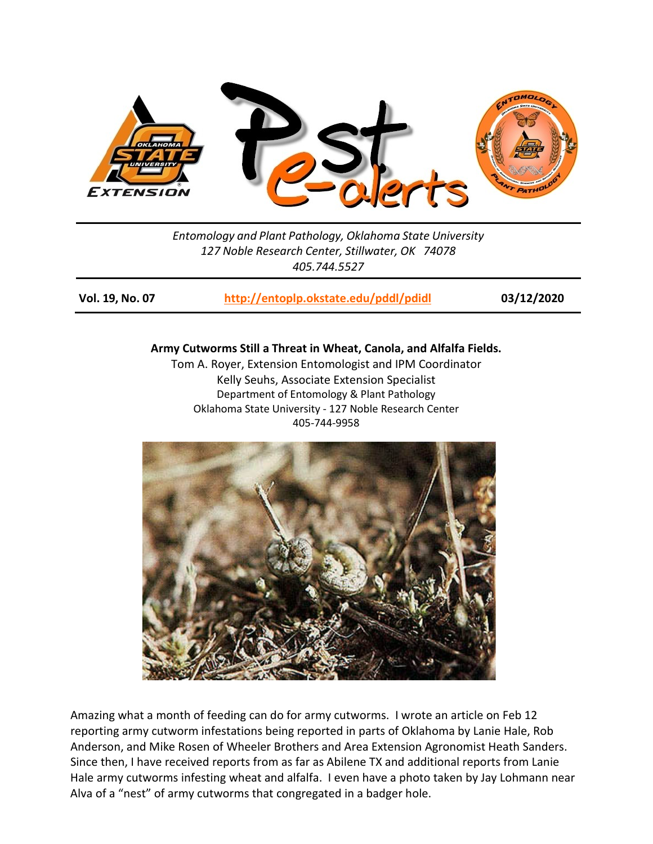

*Entomology and Plant Pathology, Oklahoma State University 127 Noble Research Center, Stillwater, OK 74078 405.744.5527*

**Vol. 19, No. 07 <http://entoplp.okstate.edu/pddl/pdidl> 03/12/2020**

## **Army Cutworms Still a Threat in Wheat, Canola, and Alfalfa Fields.**

Tom A. Royer, Extension Entomologist and IPM Coordinator Kelly Seuhs, Associate Extension Specialist Department of Entomology & Plant Pathology Oklahoma State University - 127 Noble Research Center 405-744-9958



Amazing what a month of feeding can do for army cutworms. I wrote an article on Feb 12 reporting army cutworm infestations being reported in parts of Oklahoma by Lanie Hale, Rob Anderson, and Mike Rosen of Wheeler Brothers and Area Extension Agronomist Heath Sanders. Since then, I have received reports from as far as Abilene TX and additional reports from Lanie Hale army cutworms infesting wheat and alfalfa. I even have a photo taken by Jay Lohmann near Alva of a "nest" of army cutworms that congregated in a badger hole.